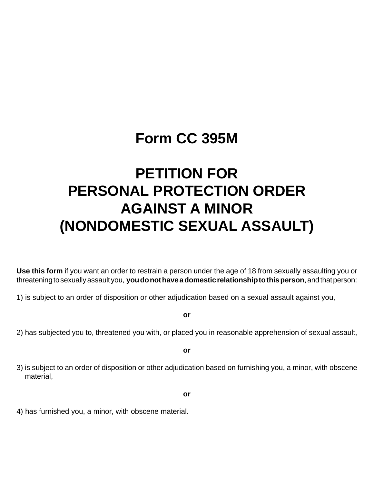# **Form CC 395M**

# **PETITION FOR PERSONAL PROTECTION ORDER AGAINST A MINOR (NONDOMESTIC SEXUAL ASSAULT)**

**Use this form** if you want an order to restrain a person under the age of 18 from sexually assaulting you or threatening to sexually assault you, **you do not have a domestic relationship to this person**, and that person:

1) is subject to an order of disposition or other adjudication based on a sexual assault against you,

**or**

2) has subjected you to, threatened you with, or placed you in reasonable apprehension of sexual assault,

**or**

3) is subject to an order of disposition or other adjudication based on furnishing you, a minor, with obscene material,

**or**

4) has furnished you, a minor, with obscene material.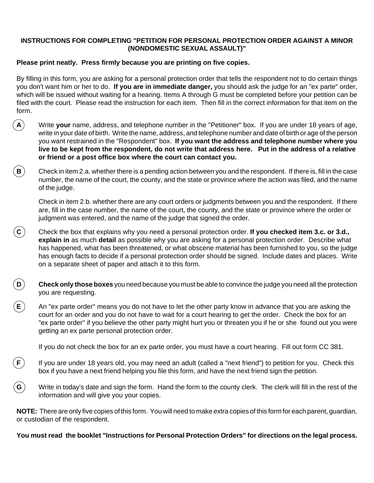### **INSTRUCTIONS FOR COMPLETING "PETITION FOR PERSONAL PROTECTION ORDER AGAINST A MINOR (NONDOMESTIC SEXUAL ASSAULT)"**

## **Please print neatly. Press firmly because you are printing on five copies.**

By filling in this form, you are asking for a personal protection order that tells the respondent not to do certain things you don't want him or her to do. **If you are in immediate danger,** you should ask the judge for an "ex parte" order, which will be issued without waiting for a hearing. Items A through G must be completed before your petition can be filed with the court. Please read the instruction for each item. Then fill in the correct information for that item on the form.

- **A** Write **your** name, address, and telephone number in the "Petitioner" box. If you are under 18 years of age, write in your date of birth. Write the name, address, and telephone number and date of birth or age of the person you want restrained in the "Respondent" box. **If you want the address and telephone number where you live to be kept from the respondent, do not write that address here. Put in the address of a relative or friend or a post office box where the court can contact you.**
- **B** Check in item 2.a. whether there is a pending action between you and the respondent. If there is, fill in the case number, the name of the court, the county, and the state or province where the action was filed, and the name of the judge.

Check in item 2.b. whether there are any court orders or judgments between you and the respondent. If there are, fill in the case number, the name of the court, the county, and the state or province where the order or judgment was entered, and the name of the judge that signed the order.

- **C** Check the box that explains why you need a personal protection order. **If you checked item 3.c. or 3.d., explain in** as much **detail** as possible why you are asking for a personal protection order. Describe what has happened, what has been threatened, or what obscene material has been furnished to you, so the judge has enough facts to decide if a personal protection order should be signed. Include dates and places. Write on a separate sheet of paper and attach it to this form.
- **D Check only those boxes** you need because you must be able to convince the judge you need all the protection you are requesting.
- **E** An "ex parte order" means you do not have to let the other party know in advance that you are asking the court for an order and you do not have to wait for a court hearing to get the order. Check the box for an "ex parte order" if you believe the other party might hurt you or threaten you if he or she found out you were getting an ex parte personal protection order.

If you do not check the box for an ex parte order, you must have a court hearing. Fill out form CC 381.

- **F**) If you are under 18 years old, you may need an adult (called a "next friend") to petition for you. Check this box if you have a next friend helping you file this form, and have the next friend sign the petition.
- **G** Write in today's date and sign the form. Hand the form to the county clerk. The clerk will fill in the rest of the information and will give you your copies.

**NOTE:** There are only five copies of this form. You will need to make extra copies of this form for each parent, guardian, or custodian of the respondent.

**You must read the booklet "Instructions for Personal Protection Orders" for directions on the legal process.**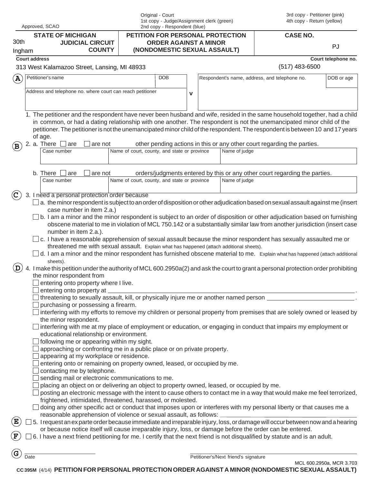|                | Approved, SCAO                                                                                                                                                                                                                                                                                                                                                                                                                                                                                                                                                                                                                                                                                                                                                                                                                                                                                                                             | Original - Court                                                 | 1st copy - Judge/Assignment clerk (green)<br>2nd copy - Respondent (blue) |  |                                      | 3rd copy - Petitioner (pink)<br>4th copy - Return (yellow)                 |                          |
|----------------|--------------------------------------------------------------------------------------------------------------------------------------------------------------------------------------------------------------------------------------------------------------------------------------------------------------------------------------------------------------------------------------------------------------------------------------------------------------------------------------------------------------------------------------------------------------------------------------------------------------------------------------------------------------------------------------------------------------------------------------------------------------------------------------------------------------------------------------------------------------------------------------------------------------------------------------------|------------------------------------------------------------------|---------------------------------------------------------------------------|--|--------------------------------------|----------------------------------------------------------------------------|--------------------------|
| 30th           | <b>STATE OF MICHIGAN</b><br><b>JUDICIAL CIRCUIT</b>                                                                                                                                                                                                                                                                                                                                                                                                                                                                                                                                                                                                                                                                                                                                                                                                                                                                                        | PETITION FOR PERSONAL PROTECTION<br><b>ORDER AGAINST A MINOR</b> |                                                                           |  |                                      | <b>CASE NO.</b>                                                            |                          |
| Ingham         | <b>COUNTY</b>                                                                                                                                                                                                                                                                                                                                                                                                                                                                                                                                                                                                                                                                                                                                                                                                                                                                                                                              | (NONDOMESTIC SEXUAL ASSAULT)                                     |                                                                           |  |                                      |                                                                            | PJ                       |
|                | <b>Court address</b>                                                                                                                                                                                                                                                                                                                                                                                                                                                                                                                                                                                                                                                                                                                                                                                                                                                                                                                       |                                                                  |                                                                           |  |                                      |                                                                            | Court telephone no.      |
|                | 313 West Kalamazoo Street, Lansing, MI 48933                                                                                                                                                                                                                                                                                                                                                                                                                                                                                                                                                                                                                                                                                                                                                                                                                                                                                               |                                                                  |                                                                           |  |                                      | $(517)$ 483-6500                                                           |                          |
| $\bf (A)$      | Petitioner's name                                                                                                                                                                                                                                                                                                                                                                                                                                                                                                                                                                                                                                                                                                                                                                                                                                                                                                                          | <b>DOB</b>                                                       |                                                                           |  |                                      | Respondent's name, address, and telephone no.                              | DOB or age               |
|                | Address and telephone no. where court can reach petitioner                                                                                                                                                                                                                                                                                                                                                                                                                                                                                                                                                                                                                                                                                                                                                                                                                                                                                 |                                                                  | $\mathbf v$                                                               |  |                                      |                                                                            |                          |
| $(\mathbf{B})$ | 1. The petitioner and the respondent have never been husband and wife, resided in the same household together, had a child<br>in common, or had a dating relationship with one another. The respondent is not the unemancipated minor child of the<br>petitioner. The petitioner is not the unemancipated minor child of the respondent. The respondent is between 10 and 17 years<br>of age.<br>2. a. There $\Box$ are<br>are not<br>Case number                                                                                                                                                                                                                                                                                                                                                                                                                                                                                          | Name of court, county, and state or province                     |                                                                           |  | Name of judge                        | other pending actions in this or any other court regarding the parties.    |                          |
|                |                                                                                                                                                                                                                                                                                                                                                                                                                                                                                                                                                                                                                                                                                                                                                                                                                                                                                                                                            |                                                                  |                                                                           |  |                                      |                                                                            |                          |
|                | b. There $\Box$ are<br>are not<br>Case number                                                                                                                                                                                                                                                                                                                                                                                                                                                                                                                                                                                                                                                                                                                                                                                                                                                                                              | Name of court, county, and state or province                     |                                                                           |  | Name of judge                        | orders/judgments entered by this or any other court regarding the parties. |                          |
| $\mathbf C$    | 3. I need a personal protection order because                                                                                                                                                                                                                                                                                                                                                                                                                                                                                                                                                                                                                                                                                                                                                                                                                                                                                              |                                                                  |                                                                           |  |                                      |                                                                            |                          |
|                | case number in item 2.a.)<br>$\Box$ b. I am a minor and the minor respondent is subject to an order of disposition or other adjudication based on furnishing<br>obscene material to me in violation of MCL 750.142 or a substantially similar law from another jurisdiction (insert case<br>number in item 2.a.).<br>$\Box$ c. I have a reasonable apprehension of sexual assault because the minor respondent has sexually assaulted me or<br>threatened me with sexual assault. Explain what has happened (attach additional sheets).<br>$\Box$ d. I am a minor and the minor respondent has furnished obscene material to me. Explain what has happened (attach additional<br>sheets).<br>4. I make this petition under the authority of MCL 600.2950a(2) and ask the court to grant a personal protection order prohibiting<br>the minor respondent from<br>$\Box$ entering onto property where I live.<br>entering onto property at _ |                                                                  |                                                                           |  |                                      |                                                                            |                          |
|                | $\Box$ threatening to sexually assault, kill, or physically injure me or another named person $\Box$                                                                                                                                                                                                                                                                                                                                                                                                                                                                                                                                                                                                                                                                                                                                                                                                                                       |                                                                  |                                                                           |  |                                      |                                                                            |                          |
|                | purchasing or possessing a firearm.<br>$\Box$ interfering with my efforts to remove my children or personal property from premises that are solely owned or leased by<br>the minor respondent.<br>$\Box$ interfering with me at my place of employment or education, or engaging in conduct that impairs my employment or<br>educational relationship or environment.<br>$\Box$ following me or appearing within my sight.                                                                                                                                                                                                                                                                                                                                                                                                                                                                                                                 |                                                                  |                                                                           |  |                                      |                                                                            |                          |
|                | approaching or confronting me in a public place or on private property.<br>appearing at my workplace or residence.<br>entering onto or remaining on property owned, leased, or occupied by me.<br>contacting me by telephone.<br>sending mail or electronic communications to me.                                                                                                                                                                                                                                                                                                                                                                                                                                                                                                                                                                                                                                                          |                                                                  |                                                                           |  |                                      |                                                                            |                          |
|                | placing an object on or delivering an object to property owned, leased, or occupied by me.<br>posting an electronic message with the intent to cause others to contact me in a way that would make me feel terrorized,<br>frightened, intimidated, threatened, harassed, or molested.<br>doing any other specific act or conduct that imposes upon or interferes with my personal liberty or that causes me a<br>reasonable apprehension of violence or sexual assault, as follows: _                                                                                                                                                                                                                                                                                                                                                                                                                                                      |                                                                  |                                                                           |  |                                      |                                                                            |                          |
| Έ<br>F         | 5. I request an ex parte order because immediate and irreparable injury, loss, or damage will occur between now and a hearing<br>or because notice itself will cause irreparable injury, loss, or damage before the order can be entered.<br>6. I have a next friend petitioning for me. I certify that the next friend is not disqualified by statute and is an adult.                                                                                                                                                                                                                                                                                                                                                                                                                                                                                                                                                                    |                                                                  |                                                                           |  |                                      |                                                                            |                          |
| G              | Date                                                                                                                                                                                                                                                                                                                                                                                                                                                                                                                                                                                                                                                                                                                                                                                                                                                                                                                                       |                                                                  |                                                                           |  | Petitioner's/Next friend's signature |                                                                            | MCL 600.2950a, MCR 3.703 |

**CC 395M** (4/14) **PETITION FOR PERSONAL PROTECTION ORDER AGAINST A MINOR (NONDOMESTIC SEXUAL ASSAULT)**